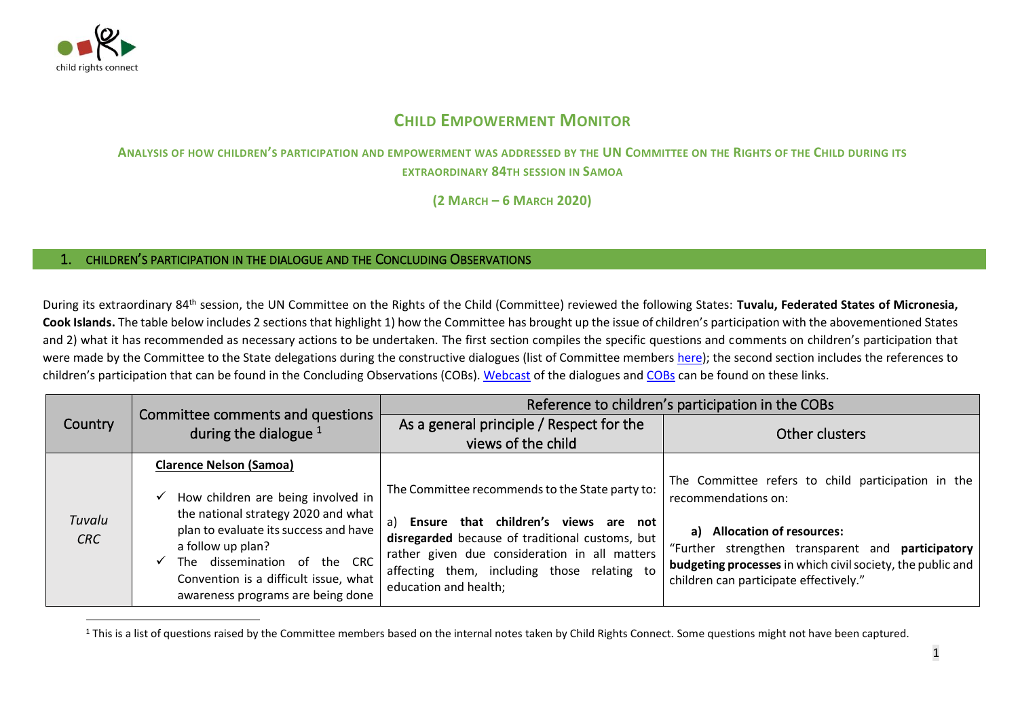

## **CHILD EMPOWERMENT MONITOR**

## **ANALYSIS OF HOW CHILDREN'S PARTICIPATION AND EMPOWERMENT WAS ADDRESSED BY THE UN COMMITTEE ON THE RIGHTS OF THE CHILD DURING ITS EXTRAORDINARY 84TH SESSION IN SAMOA**

**(2 MARCH – 6 MARCH 2020)**

## 1. CHILDREN'S PARTICIPATION IN THE DIALOGUE AND THE CONCLUDING OBSERVATIONS

During its extraordinary 84th session, the UN Committee on the Rights of the Child (Committee) reviewed the following States: **Tuvalu, Federated States of Micronesia, Cook Islands.** The table below includes 2 sections that highlight 1) how the Committee has brought up the issue of children's participation with the abovementioned States and 2) what it has recommended as necessary actions to be undertaken. The first section compiles the specific questions and comments on children's participation that were made by the Committee to the State delegations during the constructive dialogues (list of Committee members [here\)](http://www.ohchr.org/EN/HRBodies/CRC/Pages/Membership.aspx); the second section includes the references to children's participation that can be found in the Concluding Observations (COBs). [Webcast](http://webtv.un.org/meetings-events/human-rights-treaty-bodies/committee-on-the-rights-of-the-child/watch/consideration-of-tuvalu-contd-2464th-meeting-84th-extraordinary-session-committee-on-the-rights-of-the-child/6137907454001/?term=) of the dialogues and [COBs](https://tbinternet.ohchr.org/_layouts/15/treatybodyexternal/SessionDetails1.aspx?SessionID=2410&Lang=en) can be found on these links.

| <b>Country</b>       | Committee comments and questions<br>during the dialogue $1$                                                                                                                                                                                           | Reference to children's participation in the COBs                                                                                                                                                                                                                            |                                                                                                                                                                                                                                                                       |
|----------------------|-------------------------------------------------------------------------------------------------------------------------------------------------------------------------------------------------------------------------------------------------------|------------------------------------------------------------------------------------------------------------------------------------------------------------------------------------------------------------------------------------------------------------------------------|-----------------------------------------------------------------------------------------------------------------------------------------------------------------------------------------------------------------------------------------------------------------------|
|                      |                                                                                                                                                                                                                                                       | As a general principle / Respect for the<br>views of the child                                                                                                                                                                                                               | Other clusters                                                                                                                                                                                                                                                        |
|                      | <b>Clarence Nelson (Samoa)</b>                                                                                                                                                                                                                        |                                                                                                                                                                                                                                                                              |                                                                                                                                                                                                                                                                       |
| Tuvalu<br><b>CRC</b> | How children are being involved in<br>the national strategy 2020 and what<br>plan to evaluate its success and have<br>a follow up plan?<br>The dissemination of the CRC<br>Convention is a difficult issue, what<br>awareness programs are being done | The Committee recommends to the State party to:<br>Ensure that children's views<br>are not<br>a)<br>disregarded because of traditional customs, but<br>rather given due consideration in all matters<br>affecting them, including those relating to<br>education and health; | The Committee refers to child participation in the<br>recommendations on:<br>a) Allocation of resources:<br>"Further strengthen transparent and participatory<br>budgeting processes in which civil society, the public and<br>children can participate effectively." |

<sup>&</sup>lt;sup>1</sup> This is a list of questions raised by the Committee members based on the internal notes taken by Child Rights Connect. Some questions might not have been captured.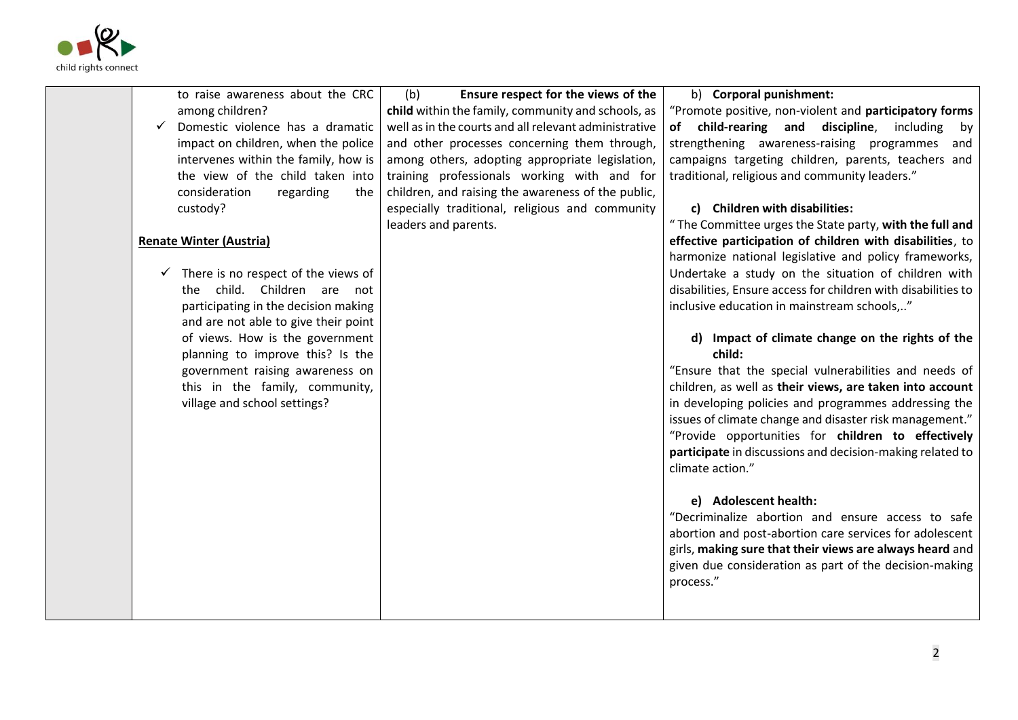

| to raise awareness about the CRC                    | Ensure respect for the views of the<br>(b)            | b) Corporal punishment:                                       |
|-----------------------------------------------------|-------------------------------------------------------|---------------------------------------------------------------|
| among children?                                     | child within the family, community and schools, as    | "Promote positive, non-violent and participatory forms        |
| Domestic violence has a dramatic                    | well as in the courts and all relevant administrative | of child-rearing and discipline,<br>including<br>by           |
| impact on children, when the police                 | and other processes concerning them through,          | strengthening awareness-raising programmes<br>and             |
| intervenes within the family, how is                | among others, adopting appropriate legislation,       | campaigns targeting children, parents, teachers and           |
| the view of the child taken into                    | training professionals working with and for           | traditional, religious and community leaders."                |
| consideration<br>regarding<br>the                   | children, and raising the awareness of the public,    |                                                               |
| custody?                                            | especially traditional, religious and community       | c) Children with disabilities:                                |
|                                                     | leaders and parents.                                  | " The Committee urges the State party, with the full and      |
| <b>Renate Winter (Austria)</b>                      |                                                       | effective participation of children with disabilities, to     |
|                                                     |                                                       | harmonize national legislative and policy frameworks,         |
| There is no respect of the views of<br>$\checkmark$ |                                                       | Undertake a study on the situation of children with           |
| the child. Children are not                         |                                                       | disabilities, Ensure access for children with disabilities to |
| participating in the decision making                |                                                       | inclusive education in mainstream schools,"                   |
| and are not able to give their point                |                                                       |                                                               |
| of views. How is the government                     |                                                       | d) Impact of climate change on the rights of the              |
| planning to improve this? Is the                    |                                                       | child:                                                        |
| government raising awareness on                     |                                                       | "Ensure that the special vulnerabilities and needs of         |
| this in the family, community,                      |                                                       | children, as well as their views, are taken into account      |
| village and school settings?                        |                                                       | in developing policies and programmes addressing the          |
|                                                     |                                                       | issues of climate change and disaster risk management."       |
|                                                     |                                                       | "Provide opportunities for children to effectively            |
|                                                     |                                                       | participate in discussions and decision-making related to     |
|                                                     |                                                       | climate action."                                              |
|                                                     |                                                       |                                                               |
|                                                     |                                                       | e) Adolescent health:                                         |
|                                                     |                                                       | "Decriminalize abortion and ensure access to safe             |
|                                                     |                                                       | abortion and post-abortion care services for adolescent       |
|                                                     |                                                       | girls, making sure that their views are always heard and      |
|                                                     |                                                       | given due consideration as part of the decision-making        |
|                                                     |                                                       | process."                                                     |
|                                                     |                                                       |                                                               |
|                                                     |                                                       |                                                               |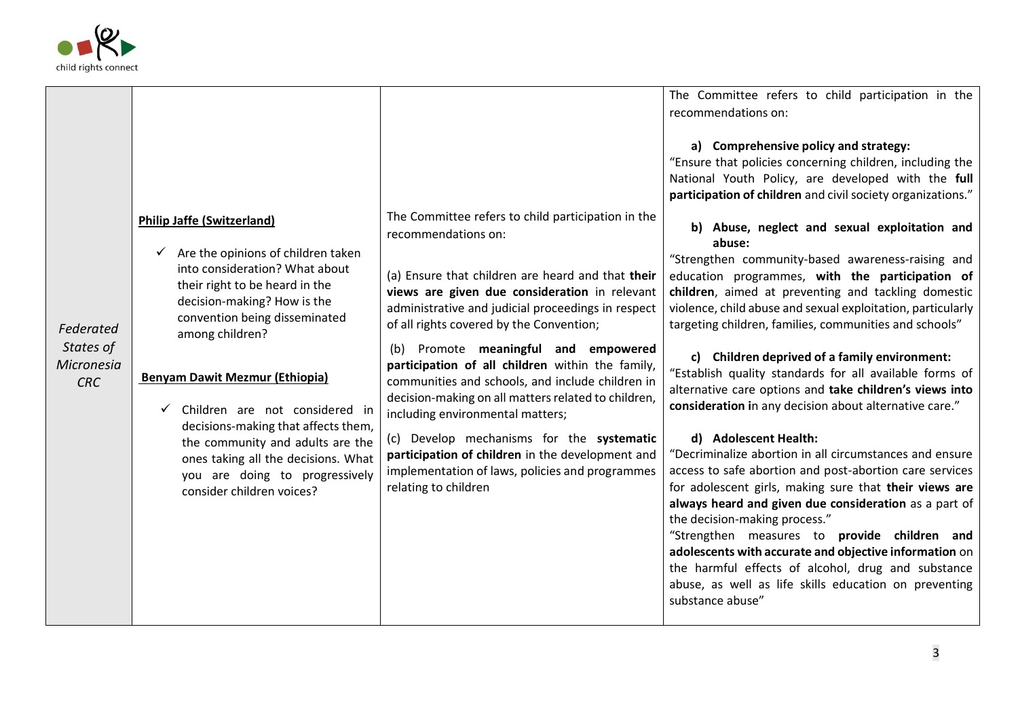

| recommendations on:                                                                                                                                                                                                                                                                                                                                                                                                                                                                                                                                                                                                                                                                                                                                                                                                                                                                                                                                                                                                                                                                                                                                                                                                                                                                                                                                                                                                                                                                                                                                                                                                                                                                                                                                                                                                                                                                                                                                                                                                                                                                                                                                                                                                                                                                                                                                                                                                                                                                                                                                                                                                           |  |
|-------------------------------------------------------------------------------------------------------------------------------------------------------------------------------------------------------------------------------------------------------------------------------------------------------------------------------------------------------------------------------------------------------------------------------------------------------------------------------------------------------------------------------------------------------------------------------------------------------------------------------------------------------------------------------------------------------------------------------------------------------------------------------------------------------------------------------------------------------------------------------------------------------------------------------------------------------------------------------------------------------------------------------------------------------------------------------------------------------------------------------------------------------------------------------------------------------------------------------------------------------------------------------------------------------------------------------------------------------------------------------------------------------------------------------------------------------------------------------------------------------------------------------------------------------------------------------------------------------------------------------------------------------------------------------------------------------------------------------------------------------------------------------------------------------------------------------------------------------------------------------------------------------------------------------------------------------------------------------------------------------------------------------------------------------------------------------------------------------------------------------------------------------------------------------------------------------------------------------------------------------------------------------------------------------------------------------------------------------------------------------------------------------------------------------------------------------------------------------------------------------------------------------------------------------------------------------------------------------------------------------|--|
|                                                                                                                                                                                                                                                                                                                                                                                                                                                                                                                                                                                                                                                                                                                                                                                                                                                                                                                                                                                                                                                                                                                                                                                                                                                                                                                                                                                                                                                                                                                                                                                                                                                                                                                                                                                                                                                                                                                                                                                                                                                                                                                                                                                                                                                                                                                                                                                                                                                                                                                                                                                                                               |  |
| a) Comprehensive policy and strategy:<br>"Ensure that policies concerning children, including the<br>National Youth Policy, are developed with the full<br>participation of children and civil society organizations."<br>The Committee refers to child participation in the<br><b>Philip Jaffe (Switzerland)</b><br>b) Abuse, neglect and sexual exploitation and<br>recommendations on:<br>abuse:<br>Are the opinions of children taken<br>"Strengthen community-based awareness-raising and<br>into consideration? What about<br>(a) Ensure that children are heard and that their<br>education programmes, with the participation of<br>their right to be heard in the<br>views are given due consideration in relevant<br>children, aimed at preventing and tackling domestic<br>decision-making? How is the<br>administrative and judicial proceedings in respect<br>violence, child abuse and sexual exploitation, particularly<br>convention being disseminated<br>of all rights covered by the Convention;<br>targeting children, families, communities and schools"<br>Federated<br>among children?<br>States of<br>Promote meaningful and empowered<br>(b)<br>c) Children deprived of a family environment:<br>Micronesia<br>participation of all children within the family,<br>"Establish quality standards for all available forms of<br><b>Benyam Dawit Mezmur (Ethiopia)</b><br>communities and schools, and include children in<br><b>CRC</b><br>alternative care options and take children's views into<br>decision-making on all matters related to children,<br>consideration in any decision about alternative care."<br>Children are not considered in<br>including environmental matters;<br>decisions-making that affects them,<br>d) Adolescent Health:<br>(c) Develop mechanisms for the systematic<br>the community and adults are the<br>participation of children in the development and<br>"Decriminalize abortion in all circumstances and ensure<br>ones taking all the decisions. What<br>implementation of laws, policies and programmes<br>access to safe abortion and post-abortion care services<br>you are doing to progressively<br>for adolescent girls, making sure that their views are<br>relating to children<br>consider children voices?<br>always heard and given due consideration as a part of<br>the decision-making process."<br>"Strengthen measures to provide children and<br>adolescents with accurate and objective information on<br>the harmful effects of alcohol, drug and substance<br>abuse, as well as life skills education on preventing<br>substance abuse" |  |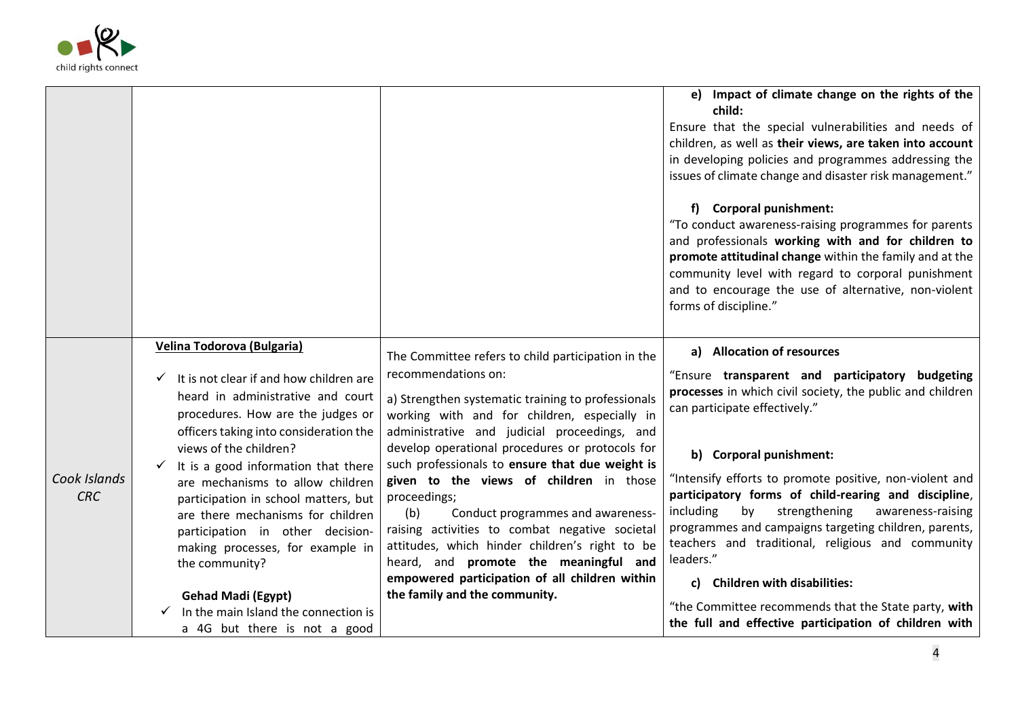

|                            |                                                                                                                                                                                                                                                                                                                                                                                                                                                                                                                                                                            |                                                                                                                                                                                                                                                                                                                                                                                                                                                                                                                                                                                                                                                                              | e) Impact of climate change on the rights of the<br>child:<br>Ensure that the special vulnerabilities and needs of<br>children, as well as their views, are taken into account<br>in developing policies and programmes addressing the<br>issues of climate change and disaster risk management."<br>f) Corporal punishment:<br>"To conduct awareness-raising programmes for parents<br>and professionals working with and for children to<br>promote attitudinal change within the family and at the<br>community level with regard to corporal punishment<br>and to encourage the use of alternative, non-violent<br>forms of discipline."                     |
|----------------------------|----------------------------------------------------------------------------------------------------------------------------------------------------------------------------------------------------------------------------------------------------------------------------------------------------------------------------------------------------------------------------------------------------------------------------------------------------------------------------------------------------------------------------------------------------------------------------|------------------------------------------------------------------------------------------------------------------------------------------------------------------------------------------------------------------------------------------------------------------------------------------------------------------------------------------------------------------------------------------------------------------------------------------------------------------------------------------------------------------------------------------------------------------------------------------------------------------------------------------------------------------------------|------------------------------------------------------------------------------------------------------------------------------------------------------------------------------------------------------------------------------------------------------------------------------------------------------------------------------------------------------------------------------------------------------------------------------------------------------------------------------------------------------------------------------------------------------------------------------------------------------------------------------------------------------------------|
| Cook Islands<br><b>CRC</b> | Velina Todorova (Bulgaria)<br>It is not clear if and how children are<br>heard in administrative and court<br>procedures. How are the judges or<br>officers taking into consideration the<br>views of the children?<br>It is a good information that there<br>are mechanisms to allow children<br>participation in school matters, but<br>are there mechanisms for children<br>participation in other decision-<br>making processes, for example in<br>the community?<br><b>Gehad Madi (Egypt)</b><br>In the main Island the connection is<br>a 4G but there is not a good | The Committee refers to child participation in the<br>recommendations on:<br>a) Strengthen systematic training to professionals<br>working with and for children, especially in<br>administrative and judicial proceedings, and<br>develop operational procedures or protocols for<br>such professionals to ensure that due weight is<br>given to the views of children in those<br>proceedings;<br>(b)<br>Conduct programmes and awareness-<br>raising activities to combat negative societal<br>attitudes, which hinder children's right to be<br>heard, and promote the meaningful and<br>empowered participation of all children within<br>the family and the community. | a) Allocation of resources<br>"Ensure transparent and participatory budgeting<br>processes in which civil society, the public and children<br>can participate effectively."<br>b) Corporal punishment:<br>"Intensify efforts to promote positive, non-violent and<br>participatory forms of child-rearing and discipline,<br>strengthening<br>including<br>by<br>awareness-raising<br>programmes and campaigns targeting children, parents,<br>teachers and traditional, religious and community<br>leaders."<br>c) Children with disabilities:<br>"the Committee recommends that the State party, with<br>the full and effective participation of children with |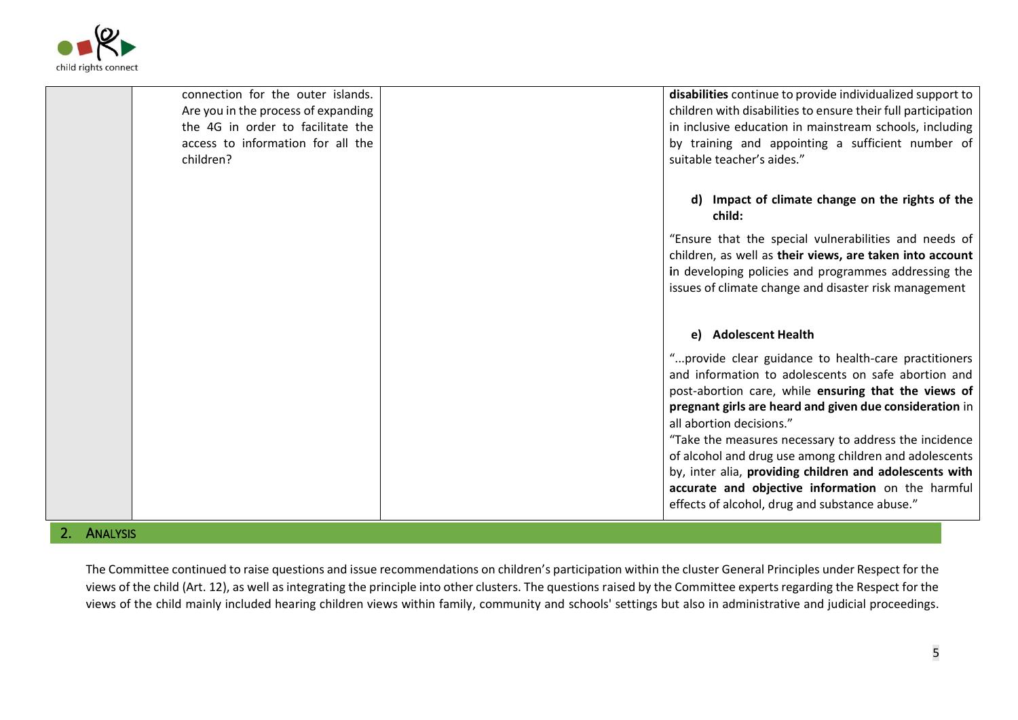

| connection for the outer islands.<br>Are you in the process of expanding<br>the 4G in order to facilitate the<br>access to information for all the<br>children? | disabilities continue to provide individualized support to<br>children with disabilities to ensure their full participation<br>in inclusive education in mainstream schools, including<br>by training and appointing a sufficient number of<br>suitable teacher's aides."                                                                                                                                                                                                                                                                       |
|-----------------------------------------------------------------------------------------------------------------------------------------------------------------|-------------------------------------------------------------------------------------------------------------------------------------------------------------------------------------------------------------------------------------------------------------------------------------------------------------------------------------------------------------------------------------------------------------------------------------------------------------------------------------------------------------------------------------------------|
|                                                                                                                                                                 | d) Impact of climate change on the rights of the<br>child:                                                                                                                                                                                                                                                                                                                                                                                                                                                                                      |
|                                                                                                                                                                 | "Ensure that the special vulnerabilities and needs of<br>children, as well as their views, are taken into account<br>in developing policies and programmes addressing the<br>issues of climate change and disaster risk management                                                                                                                                                                                                                                                                                                              |
|                                                                                                                                                                 | e) Adolescent Health                                                                                                                                                                                                                                                                                                                                                                                                                                                                                                                            |
|                                                                                                                                                                 | "provide clear guidance to health-care practitioners<br>and information to adolescents on safe abortion and<br>post-abortion care, while ensuring that the views of<br>pregnant girls are heard and given due consideration in<br>all abortion decisions."<br>"Take the measures necessary to address the incidence<br>of alcohol and drug use among children and adolescents<br>by, inter alia, providing children and adolescents with<br>accurate and objective information on the harmful<br>effects of alcohol, drug and substance abuse." |

## 2. ANALYSIS

The Committee continued to raise questions and issue recommendations on children's participation within the cluster General Principles under Respect for the views of the child (Art. 12), as well as integrating the principle into other clusters. The questions raised by the Committee experts regarding the Respect for the views of the child mainly included hearing children views within family, community and schools' settings but also in administrative and judicial proceedings.